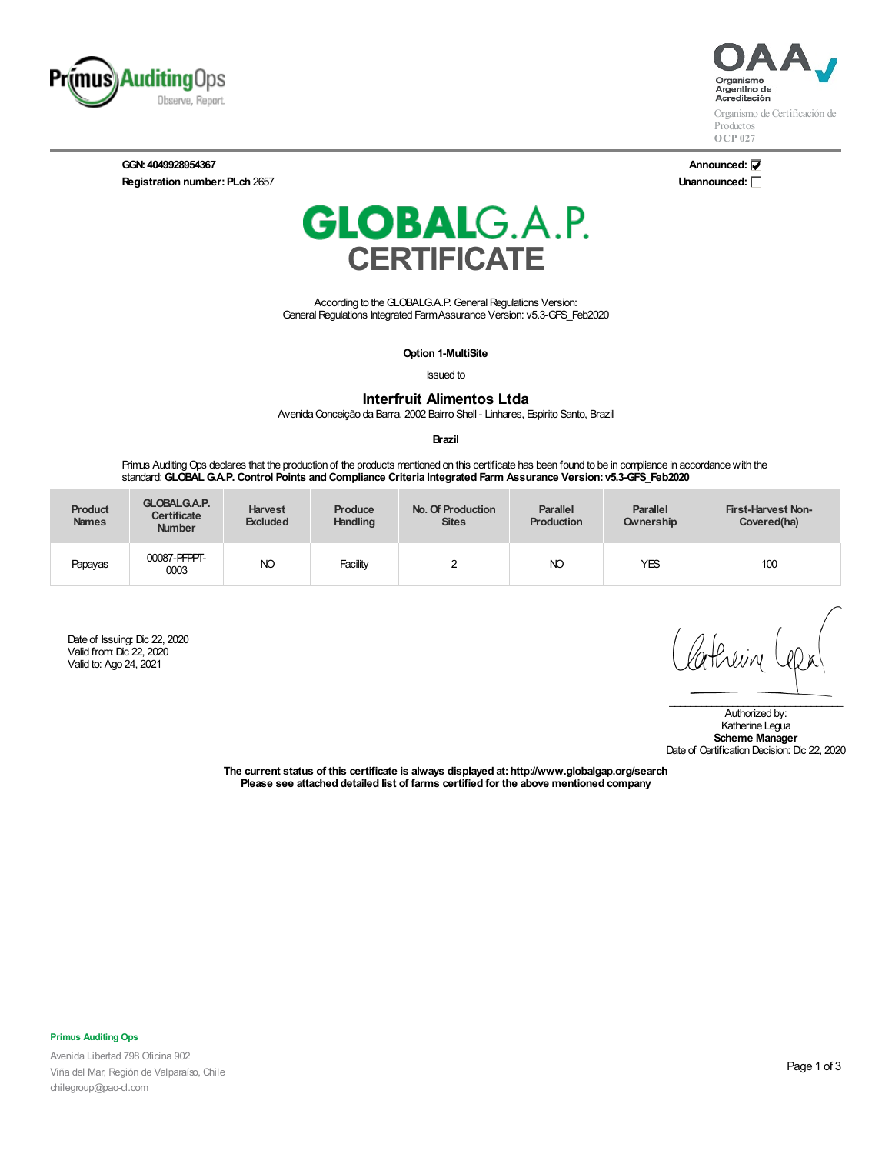

**GGN: 4049928954367 Registration number: PLch 2657** 



Organismo de Certificación de Productos **OCP 027**

**Announced: Unannounced:**



According to the GLOBALG.A.P. General Regulations Version: General Regulations Integrated Farm Assurance Version: v5.3-GFS\_Feb2020

**Option 1-MultiSite**

Issued to

**Interfruit Alimentos Ltda**

AvenidaConceição da Barra, 2002 Bairro Shell - Linhares, Espirito Santo, Brazil

**Brazil**

Primus AuditingOps declares that the production of the products mentioned on this certificate has been found to be in compliance in accordancewith the standard: **GLOBALG.A.P. Control Points and Compliance Criteria Integrated Farm Assurance Version: v5.3-GFS\_Feb2020**

| <b>Product</b><br><b>Names</b> | <b>GLOBALG.A.P.</b><br><b>Certificate</b><br><b>Number</b> | <b>Harvest</b><br><b>Excluded</b> | Produce<br><b>Handling</b> | No. Of Production<br><b>Sites</b> | <b>Parallel</b><br><b>Production</b> | <b>Parallel</b><br>Ownership | First-Harvest Non-<br>Covered(ha) |
|--------------------------------|------------------------------------------------------------|-----------------------------------|----------------------------|-----------------------------------|--------------------------------------|------------------------------|-----------------------------------|
| Papayas                        | 00087-PFPPT-<br>0003                                       | NO                                | Facility                   |                                   | NO                                   | YES                          | 100                               |

Date of Issuing: Dic 22, 2020 Valid from: Dic 22, 2020 Valid to: Ago 24, 2021

athein

\_\_\_\_\_\_\_\_\_\_\_\_\_\_\_\_\_\_\_\_\_\_\_\_\_\_\_\_\_\_\_\_\_ Authorized by: Katherine Legua **Scheme Manager** Date of Certification Decision: Dic 22, 2020

**The current status of this certificate is always displayed at:http://www.globalgap.org/search Please see attached detailed list of farms certified for the above mentioned company**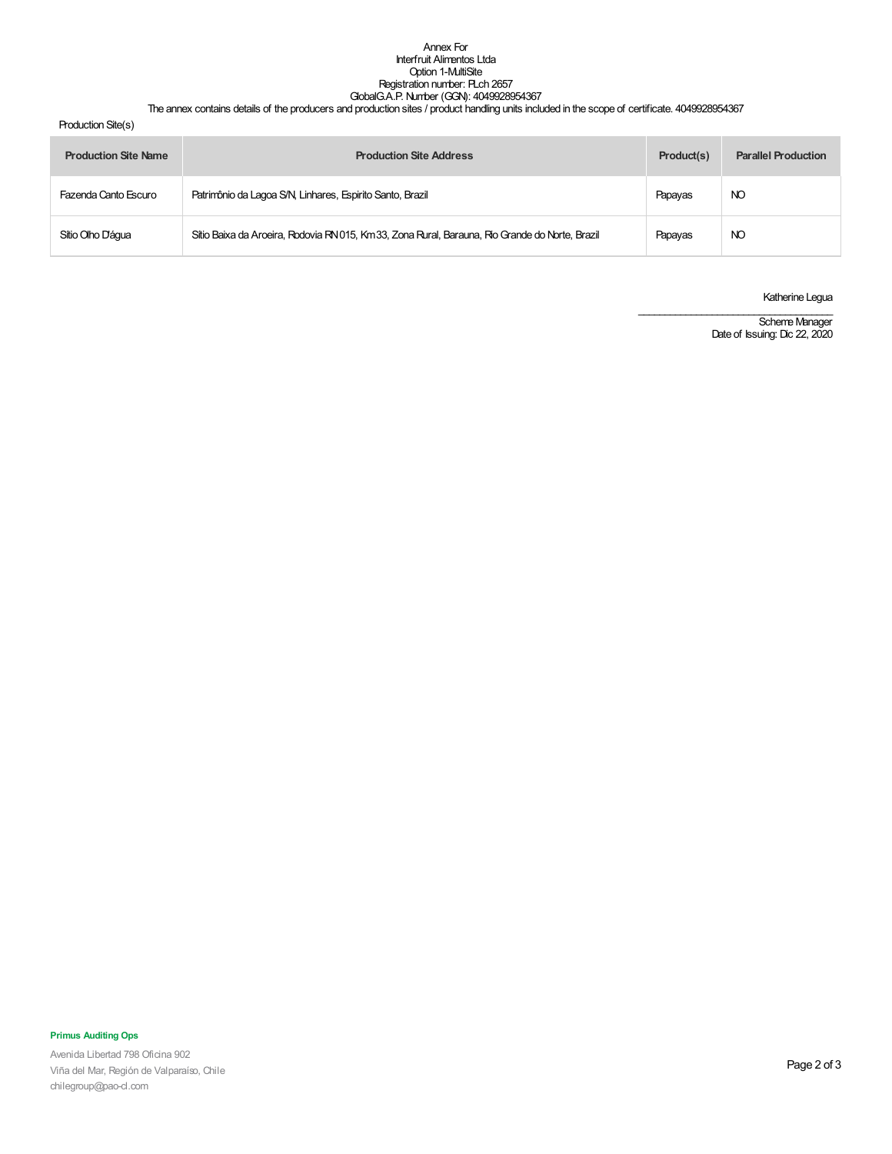### Annex For Interfruit Alimentos Ltda Option 1-MultiSite Registration number: PLch 2657 GlobalG.A.P. Number (GGN): 4049928954367

#### The annex contains details of the producers and production sites / product handling units included in the scope of certificate. 4049928954367

Production Site(s)

| <b>Production Site Name</b> | <b>Production Site Address</b>                                                                  | Product(s) | <b>Parallel Production</b> |
|-----------------------------|-------------------------------------------------------------------------------------------------|------------|----------------------------|
| Fazenda Canto Escuro        | Patrimônio da Lagoa S/N, Linhares, Espirito Santo, Brazil                                       | Papayas    | NO                         |
| Sítio Olho Dáqua            | Sítio Baixa da Aroeira, Rodovia RN 015, Km 33, Zona Rural, Barauna, Rio Grande do Norte, Brazil | Papayas    | NO                         |

Katherine Legua

Scheme Manager Date of Issuing: Dic 22, 2020

\_\_\_\_\_\_\_\_\_\_\_\_\_\_\_\_\_\_\_\_\_\_\_\_\_\_\_\_\_\_\_\_\_\_\_\_\_

# **Primus Auditing Ops**

Avenida Libertad 798 Oficina 902 Viña del Mar, Región de Valparaíso, Chile chilegroup@pao-cl.com